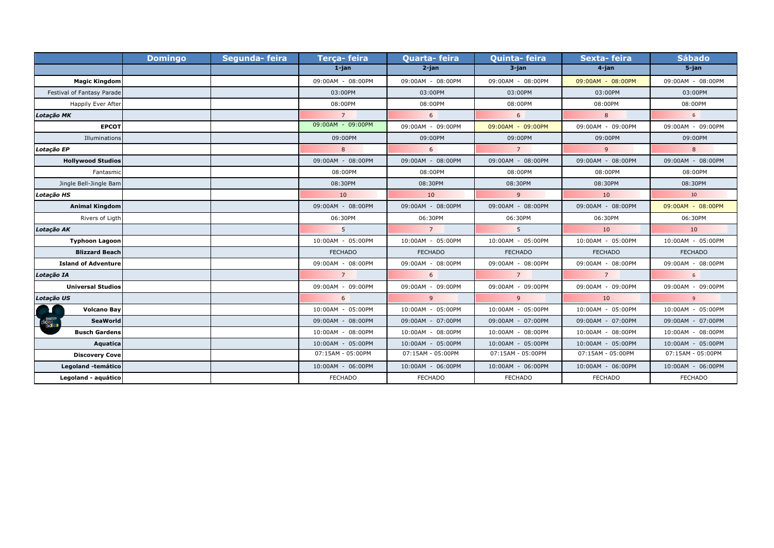|                            | <b>Domingo</b> | Segunda-feira | Terça-feira       | <b>Quarta-feira</b> | <b>Quinta-feira</b> | Sexta-feira       | <b>Sábado</b>     |
|----------------------------|----------------|---------------|-------------------|---------------------|---------------------|-------------------|-------------------|
|                            |                |               | $1$ -jan          | $2$ -jan            | $3$ -jan            | 4-jan             | $5$ -jan          |
| <b>Magic Kingdom</b>       |                |               | 09:00AM - 08:00PM | 09:00AM - 08:00PM   | 09:00AM - 08:00PM   | 09:00AM - 08:00PM | 09:00AM - 08:00PM |
| Festival of Fantasy Parade |                |               | 03:00PM           | 03:00PM             | 03:00PM             | 03:00PM           | 03:00PM           |
| Happily Ever After         |                |               | 08:00PM           | 08:00PM             | 08:00PM             | 08:00PM           | 08:00PM           |
| Lotação MK                 |                |               | $\overline{7}$    | 6                   | 6                   | 8                 | 6 <sup>1</sup>    |
| <b>EPCOT</b>               |                |               | 09:00AM - 09:00PM | 09:00AM - 09:00PM   | 09:00AM - 09:00PM   | 09:00AM - 09:00PM | 09:00AM - 09:00PM |
| Illuminations              |                |               | 09:00PM           | 09:00PM             | 09:00PM             | 09:00PM           | 09:00PM           |
| Lotação EP                 |                |               | 8                 | 6                   | $7^{\circ}$         | 9                 | 8                 |
| <b>Hollywood Studios</b>   |                |               | 09:00AM - 08:00PM | 09:00AM - 08:00PM   | 09:00AM - 08:00PM   | 09:00AM - 08:00PM | 09:00AM - 08:00PM |
| Fantasmic                  |                |               | 08:00PM           | 08:00PM             | 08:00PM             | 08:00PM           | 08:00PM           |
| Jingle Bell-Jingle Bam     |                |               | 08:30PM           | 08:30PM             | 08:30PM             | 08:30PM           | 08:30PM           |
| Lotação HS                 |                |               | 10                | 10                  | 9                   | 10                | 10                |
| <b>Animal Kingdom</b>      |                |               | 09:00AM - 08:00PM | 09:00AM - 08:00PM   | 09:00AM - 08:00PM   | 09:00AM - 08:00PM | 09:00AM - 08:00PM |
| Rivers of Ligth            |                |               | 06:30PM           | 06:30PM             | 06:30PM             | 06:30PM           | 06:30PM           |
| Lotação AK                 |                |               | 5 <sup>1</sup>    | $7^{\circ}$         | 5 <sup>5</sup>      | 10                | 10                |
| <b>Typhoon Lagoon</b>      |                |               | 10:00AM - 05:00PM | 10:00AM - 05:00PM   | 10:00AM - 05:00PM   | 10:00AM - 05:00PM | 10:00AM - 05:00PM |
| <b>Blizzard Beach</b>      |                |               | <b>FECHADO</b>    | <b>FECHADO</b>      | <b>FECHADO</b>      | <b>FECHADO</b>    | <b>FECHADO</b>    |
| <b>Island of Adventure</b> |                |               | 09:00AM - 08:00PM | 09:00AM - 08:00PM   | 09:00AM - 08:00PM   | 09:00AM - 08:00PM | 09:00AM - 08:00PM |
| Lotação IA                 |                |               | $\overline{7}$    | 6                   | $7\overline{ }$     | $7^{\circ}$       | 6 <sup>1</sup>    |
| <b>Universal Studios</b>   |                |               | 09:00AM - 09:00PM | 09:00AM - 09:00PM   | 09:00AM - 09:00PM   | 09:00AM - 09:00PM | 09:00AM - 09:00PM |
| Lotação US                 |                |               | 6                 | 9                   | 9                   | 10                | 9                 |
| <b>Volcano Bay</b>         |                |               | 10:00AM - 05:00PM | 10:00AM - 05:00PM   | 10:00AM - 05:00PM   | 10:00AM - 05:00PM | 10:00AM - 05:00PM |
| <b>SeaWorld</b>            |                |               | 09:00AM - 08:00PM | 09:00AM - 07:00PM   | 09:00AM - 07:00PM   | 09:00AM - 07:00PM | 09:00AM - 07:00PM |
| <b>Busch Gardens</b>       |                |               | 10:00AM - 08:00PM | 10:00AM - 08:00PM   | 10:00AM - 08:00PM   | 10:00AM - 08:00PM | 10:00AM - 08:00PM |
| Aquatica                   |                |               | 10:00AM - 05:00PM | 10:00AM - 05:00PM   | 10:00AM - 05:00PM   | 10:00AM - 05:00PM | 10:00AM - 05:00PM |
| <b>Discovery Cove</b>      |                |               | 07:15AM - 05:00PM | 07:15AM - 05:00PM   | 07:15AM - 05:00PM   | 07:15AM - 05:00PM | 07:15AM - 05:00PM |
| Legoland -temático         |                |               | 10:00AM - 06:00PM | 10:00AM - 06:00PM   | 10:00AM - 06:00PM   | 10:00AM - 06:00PM | 10:00AM - 06:00PM |
| Legoland - aquático        |                |               | <b>FECHADO</b>    | <b>FECHADO</b>      | <b>FECHADO</b>      | <b>FECHADO</b>    | <b>FECHADO</b>    |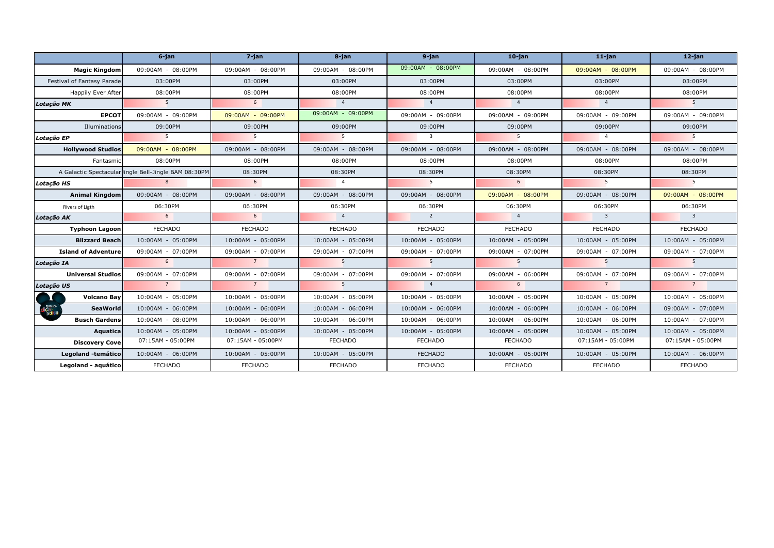|                            | $6$ -jan                                              | 7-jan             | 8-jan               | $9$ -jan                 | $10$ -jan         | $11$ -jan                  | $12$ -jan                  |
|----------------------------|-------------------------------------------------------|-------------------|---------------------|--------------------------|-------------------|----------------------------|----------------------------|
| <b>Magic Kingdom</b>       | 09:00AM - 08:00PM                                     | 09:00AM - 08:00PM | $09:00AM - 08:00PM$ | 09:00AM - 08:00PM        | 09:00AM - 08:00PM | 09:00AM - 08:00PM          | 09:00AM - 08:00PM          |
| Festival of Fantasy Parade | 03:00PM                                               | 03:00PM           | 03:00PM             | 03:00PM                  | 03:00PM           | 03:00PM                    | 03:00PM                    |
| <b>Happily Ever After</b>  | 08:00PM                                               | 08:00PM           | 08:00PM             | 08:00PM                  | 08:00PM           | 08:00PM                    | 08:00PM                    |
| Lotação MK                 | 5 <sup>7</sup>                                        | 6                 | $\overline{4}$      | $\overline{4}$           | $\overline{4}$    | $\overline{4}$             | 5 <sup>5</sup>             |
| <b>EPCOT</b>               | 09:00AM - 09:00PM                                     | 09:00AM - 09:00PM | 09:00AM - 09:00PM   | 09:00AM - 09:00PM        | 09:00AM - 09:00PM | 09:00AM - 09:00PM          | 09:00AM - 09:00PM          |
| Illuminations              | 09:00PM                                               | 09:00PM           | 09:00PM             | 09:00PM                  | 09:00PM           | 09:00PM                    | 09:00PM                    |
| Lotacão EP                 | 5                                                     | 5 <sup>5</sup>    | 5 <sup>5</sup>      | $\overline{\mathbf{3}}$  | 5 <sup>5</sup>    | $\overline{4}$             | $5^{\circ}$                |
| <b>Hollywood Studios</b>   | 09:00AM - 08:00PM                                     | 09:00AM - 08:00PM | 09:00AM - 08:00PM   | 09:00AM - 08:00PM        | 09:00AM - 08:00PM | 09:00AM - 08:00PM          | 09:00AM - 08:00PM          |
| Fantasmic                  | 08:00PM                                               | 08:00PM           | 08:00PM             | 08:00PM                  | 08:00PM           | 08:00PM                    | 08:00PM                    |
|                            | A Galactic Spectacular lingle Bell-Jingle BAM 08:30PM | 08:30PM           | 08:30PM             | 08:30PM                  | 08:30PM           | 08:30PM                    | 08:30PM                    |
| Lotação HS                 | 8                                                     | 6                 | $\overline{4}$      | $\overline{\phantom{0}}$ | 6                 | $5^{\circ}$                | 5                          |
| <b>Animal Kingdom</b>      | 09:00AM - 08:00PM                                     | 09:00AM - 08:00PM | 09:00AM - 08:00PM   | 09:00AM - 08:00PM        | 09:00AM - 08:00PM | 09:00AM - 08:00PM          | 09:00AM - 08:00PM          |
| Rivers of Ligth            | 06:30PM                                               | 06:30PM           | 06:30PM             | 06:30PM                  | 06:30PM           | 06:30PM                    | 06:30PM                    |
| Lotação AK                 | 6 <sup>1</sup>                                        | 6                 | 4                   | $\overline{2}$           | $\overline{4}$    | $\overline{\phantom{a}}$ 3 | $\overline{\phantom{a}}$ 3 |
| <b>Typhoon Lagoon</b>      | <b>FECHADO</b>                                        | <b>FECHADO</b>    | <b>FECHADO</b>      | FECHADO                  | <b>FECHADO</b>    | <b>FECHADO</b>             | <b>FECHADO</b>             |
| <b>Blizzard Beach</b>      | 10:00AM - 05:00PM                                     | 10:00AM - 05:00PM | 10:00AM - 05:00PM   | 10:00AM - 05:00PM        | 10:00AM - 05:00PM | 10:00AM - 05:00PM          | 10:00AM - 05:00PM          |
| <b>Island of Adventure</b> | 09:00AM - 07:00PM                                     | 09:00AM - 07:00PM | 09:00AM - 07:00PM   | 09:00AM - 07:00PM        | 09:00AM - 07:00PM | 09:00AM - 07:00PM          | 09:00AM - 07:00PM          |
| Lotação IA                 | 6                                                     | $\overline{7}$    | 5 <sup>1</sup>      | 5 <sup>5</sup>           | 5 <sup>5</sup>    | 5 <sup>5</sup>             | 5 <sup>5</sup>             |
| <b>Universal Studios</b>   | 09:00AM - 07:00PM                                     | 09:00AM - 07:00PM | 09:00AM - 07:00PM   | 09:00AM - 07:00PM        | 09:00AM - 06:00PM | 09:00AM - 07:00PM          | 09:00AM - 07:00PM          |
| Lotação US                 | $\overline{7}$                                        | $\overline{7}$    | 5 <sup>7</sup>      | $\overline{4}$           | 6                 | $\overline{7}$             | $\overline{7}$             |
| <b>Volcano Bay</b>         | 10:00AM - 05:00PM                                     | 10:00AM - 05:00PM | 10:00AM - 05:00PM   | 10:00AM - 05:00PM        | 10:00AM - 05:00PM | 10:00AM - 05:00PM          | $10:00AM - 05:00PM$        |
| <b>SeaWorld</b>            | 10:00AM - 06:00PM                                     | 10:00AM - 06:00PM | 10:00AM - 06:00PM   | 10:00AM - 06:00PM        | 10:00AM - 06:00PM | 10:00AM - 06:00PM          | 09:00AM - 07:00PM          |
| <b>Busch Gardens</b>       | 10:00AM - 08:00PM                                     | 10:00AM - 06:00PM | 10:00AM - 06:00PM   | 10:00AM - 06:00PM        | 10:00AM - 06:00PM | 10:00AM - 06:00PM          | $10:00AM - 07:00PM$        |
| Aquatica                   | 10:00AM - 05:00PM                                     | 10:00AM - 05:00PM | 10:00AM - 05:00PM   | 10:00AM - 05:00PM        | 10:00AM - 05:00PM | 10:00AM - 05:00PM          | 10:00AM - 05:00PM          |
| <b>Discovery Cove</b>      | 07:15AM - 05:00PM                                     | 07:15AM - 05:00PM | <b>FECHADO</b>      | <b>FECHADO</b>           | <b>FECHADO</b>    | 07:15AM - 05:00PM          | 07:15AM - 05:00PM          |
| Legoland -temático         | 10:00AM - 06:00PM                                     | 10:00AM - 05:00PM | 10:00AM - 05:00PM   | <b>FECHADO</b>           | 10:00AM - 05:00PM | 10:00AM - 05:00PM          | 10:00AM - 06:00PM          |
| Legoland - aquático        | <b>FECHADO</b>                                        | <b>FECHADO</b>    | <b>FECHADO</b>      | <b>FECHADO</b>           | <b>FECHADO</b>    | <b>FECHADO</b>             | <b>FECHADO</b>             |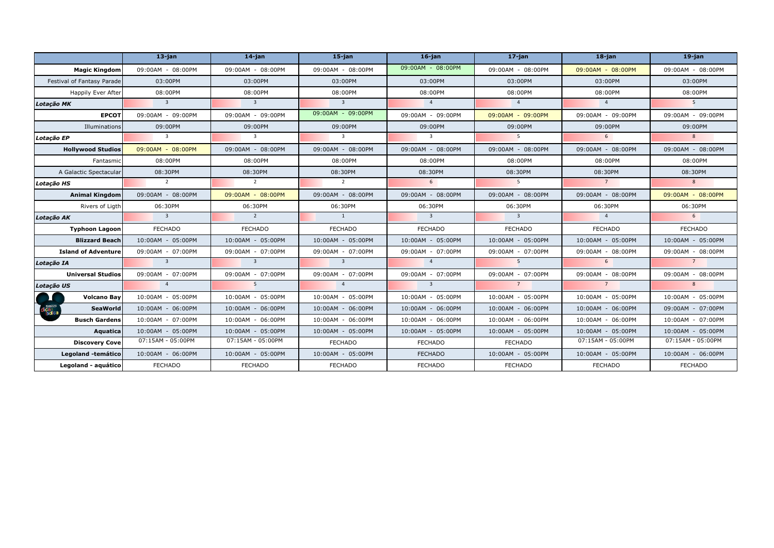|                            | $13$ -jan                  | $14$ -jan                  | $15$ -jan                  | $16$ -jan                  | $17$ -jan                | $18$ -jan         | $19$ -jan           |
|----------------------------|----------------------------|----------------------------|----------------------------|----------------------------|--------------------------|-------------------|---------------------|
| <b>Magic Kingdom</b>       | 09:00AM - 08:00PM          | 09:00AM - 08:00PM          | $09:00AM - 08:00PM$        | 09:00AM - 08:00PM          | 09:00AM - 08:00PM        | 09:00AM - 08:00PM | 09:00AM - 08:00PM   |
| Festival of Fantasy Parade | 03:00PM                    | 03:00PM                    | 03:00PM                    | 03:00PM                    | 03:00PM                  | 03:00PM           | 03:00PM             |
| Happily Ever After         | 08:00PM                    | 08:00PM                    | 08:00PM                    | 08:00PM                    | 08:00PM                  | 08:00PM           | 08:00PM             |
| Lotação MK                 | $\overline{\mathbf{3}}$    | $\overline{\phantom{a}}$ 3 | $\overline{\mathbf{3}}$    | 4 <sup>1</sup>             | 4 <sup>1</sup>           | $\overline{4}$    | 5 <sup>5</sup>      |
| <b>EPCOT</b>               | 09:00AM - 09:00PM          | 09:00AM - 09:00PM          | 09:00AM - 09:00PM          | 09:00AM - 09:00PM          | 09:00AM - 09:00PM        | 09:00AM - 09:00PM | 09:00AM - 09:00PM   |
| Illuminations              | 09:00PM                    | 09:00PM                    | 09:00PM                    | 09:00PM                    | 09:00PM                  | 09:00PM           | 09:00PM             |
| Lotação EP                 | $\overline{\mathbf{3}}$    | $\overline{3}$             | $\overline{\mathbf{3}}$    | $\overline{\mathbf{3}}$    | 5 <sup>5</sup>           | 6                 | 8 <sup>8</sup>      |
| <b>Hollywood Studios</b>   | 09:00AM - 08:00PM          | 09:00AM - 08:00PM          | 09:00AM - 08:00PM          | 09:00AM - 08:00PM          | 09:00AM - 08:00PM        | 09:00AM - 08:00PM | 09:00AM - 08:00PM   |
| Fantasmic                  | 08:00PM                    | 08:00PM                    | 08:00PM                    | 08:00PM                    | 08:00PM                  | 08:00PM           | 08:00PM             |
| A Galactic Spectacular     | 08:30PM                    | 08:30PM                    | 08:30PM                    | 08:30PM                    | 08:30PM                  | 08:30PM           | 08:30PM             |
| Lotação HS                 | $\overline{2}$             | $\overline{2}$             | $\overline{2}$             | 6                          | $\overline{\phantom{0}}$ | $\overline{7}$    | 8 <sup>1</sup>      |
| <b>Animal Kingdom</b>      | 09:00AM - 08:00PM          | 09:00AM - 08:00PM          | 09:00AM - 08:00PM          | 09:00AM - 08:00PM          | 09:00AM - 08:00PM        | 09:00AM - 08:00PM | 09:00AM - 08:00PM   |
| Rivers of Ligth            | 06:30PM                    | 06:30PM                    | 06:30PM                    | 06:30PM                    | 06:30PM                  | 06:30PM           | 06:30PM             |
| Lotação AK                 | $\overline{\mathbf{3}}$    | $\overline{2}$             | $\overline{1}$             | $\overline{\phantom{a}}$ 3 | $\overline{\mathbf{3}}$  | $\overline{4}$    | 6                   |
| <b>Typhoon Lagoon</b>      | <b>FECHADO</b>             | <b>FECHADO</b>             | <b>FECHADO</b>             | FECHADO                    | <b>FECHADO</b>           | <b>FECHADO</b>    | <b>FECHADO</b>      |
| <b>Blizzard Beach</b>      | 10:00AM - 05:00PM          | 10:00AM - 05:00PM          | 10:00AM - 05:00PM          | 10:00AM - 05:00PM          | 10:00AM - 05:00PM        | 10:00AM - 05:00PM | 10:00AM - 05:00PM   |
| <b>Island of Adventure</b> | 09:00AM - 07:00PM          | 09:00AM - 07:00PM          | 09:00AM - 07:00PM          | 09:00AM - 07:00PM          | 09:00AM - 07:00PM        | 09:00AM - 08:00PM | 09:00AM - 08:00PM   |
| Lotação IA                 | $\overline{\phantom{a}}$ 3 | $\overline{\phantom{a}}$ 3 | $\overline{\phantom{a}}$ 3 | $\overline{4}$             | 5 <sup>5</sup>           | 6                 | $\overline{7}$      |
| <b>Universal Studios</b>   | 09:00AM - 07:00PM          | 09:00AM - 07:00PM          | 09:00AM - 07:00PM          | 09:00AM - 07:00PM          | 09:00AM - 07:00PM        | 09:00AM - 08:00PM | 09:00AM - 08:00PM   |
| Lotação US                 | $\overline{4}$             | 5 <sup>5</sup>             | $\overline{4}$             | $\overline{\phantom{a}}$ 3 | $\overline{7}$           | $\overline{7}$    | 8 <sup>8</sup>      |
| <b>Volcano Bay</b>         | 10:00AM - 05:00PM          | 10:00AM - 05:00PM          | 10:00AM - 05:00PM          | 10:00AM - 05:00PM          | 10:00AM - 05:00PM        | 10:00AM - 05:00PM | $10:00AM - 05:00PM$ |
| <b>SeaWorld</b>            | 10:00AM - 06:00PM          | 10:00AM - 06:00PM          | 10:00AM - 06:00PM          | 10:00AM - 06:00PM          | 10:00AM - 06:00PM        | 10:00AM - 06:00PM | 09:00AM - 07:00PM   |
| <b>Busch Gardens</b>       | 10:00AM - 07:00PM          | 10:00AM - 06:00PM          | 10:00AM - 06:00PM          | 10:00AM - 06:00PM          | 10:00AM - 06:00PM        | 10:00AM - 06:00PM | $10:00AM - 07:00PM$ |
| Aquatica                   | 10:00AM - 05:00PM          | 10:00AM - 05:00PM          | 10:00AM - 05:00PM          | 10:00AM - 05:00PM          | 10:00AM - 05:00PM        | 10:00AM - 05:00PM | 10:00AM - 05:00PM   |
| <b>Discovery Cove</b>      | 07:15AM - 05:00PM          | 07:15AM - 05:00PM          | <b>FECHADO</b>             | <b>FECHADO</b>             | <b>FECHADO</b>           | 07:15AM - 05:00PM | 07:15AM - 05:00PM   |
| Legoland -temático         | 10:00AM - 06:00PM          | 10:00AM - 05:00PM          | 10:00AM - 05:00PM          | <b>FECHADO</b>             | 10:00AM - 05:00PM        | 10:00AM - 05:00PM | 10:00AM - 06:00PM   |
| Legoland - aquático        | <b>FECHADO</b>             | <b>FECHADO</b>             | <b>FECHADO</b>             | <b>FECHADO</b>             | <b>FECHADO</b>           | <b>FECHADO</b>    | <b>FECHADO</b>      |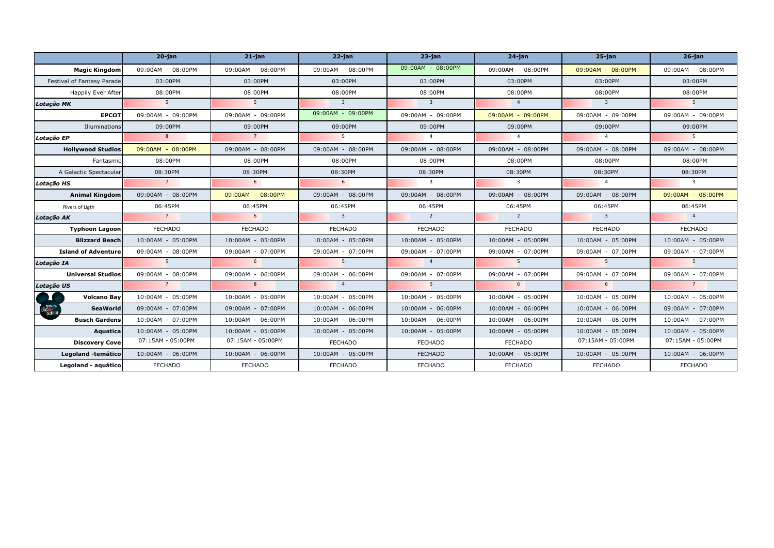|                            | $20$ -jan         | $21$ -jan         | $22$ -jan               | $23$ -jan                  | $24$ -jan               | $25$ -jan                  | $26$ -jan               |
|----------------------------|-------------------|-------------------|-------------------------|----------------------------|-------------------------|----------------------------|-------------------------|
| <b>Magic Kingdom</b>       | 09:00AM - 08:00PM | 09:00AM - 08:00PM | $09:00AM - 08:00PM$     | 09:00AM - 08:00PM          | 09:00AM - 08:00PM       | 09:00AM - 08:00PM          | 09:00AM - 08:00PM       |
| Festival of Fantasy Parade | 03:00PM           | 03:00PM           | 03:00PM                 | 03:00PM                    | 03:00PM                 | 03:00PM                    | 03:00PM                 |
| Happily Ever After         | 08:00PM           | 08:00PM           | 08:00PM                 | 08:00PM                    | 08:00PM                 | 08:00PM                    | 08:00PM                 |
| Lotação MK                 | 5 <sup>5</sup>    | 5 <sup>5</sup>    | $\overline{\mathbf{3}}$ | $\overline{\phantom{a}}$ 3 | $\overline{4}$          | $\overline{\phantom{a}}$ 3 | 5 <sup>5</sup>          |
| <b>EPCOT</b>               | 09:00AM - 09:00PM | 09:00AM - 09:00PM | 09:00AM - 09:00PM       | 09:00AM - 09:00PM          | 09:00AM - 09:00PM       | 09:00AM - 09:00PM          | 09:00AM - 09:00PM       |
| Illuminations              | 09:00PM           | 09:00PM           | 09:00PM                 | 09:00PM                    | 09:00PM                 | 09:00PM                    | 09:00PM                 |
| Lotação EP                 | 8                 | 7                 | 5 <sup>5</sup>          | $\overline{4}$             | $\overline{4}$          | $\overline{4}$             | $5^{\circ}$             |
| <b>Hollywood Studios</b>   | 09:00AM - 08:00PM | 09:00AM - 08:00PM | 09:00AM - 08:00PM       | 09:00AM - 08:00PM          | 09:00AM - 08:00PM       | 09:00AM - 08:00PM          | 09:00AM - 08:00PM       |
| Fantasmic                  | 08:00PM           | 08:00PM           | 08:00PM                 | 08:00PM                    | 08:00PM                 | 08:00PM                    | 08:00PM                 |
| A Galactic Spectacular     | 08:30PM           | 08:30PM           | 08:30PM                 | 08:30PM                    | 08:30PM                 | 08:30PM                    | 08:30PM                 |
| Lotação HS                 | $\overline{7}$    | 6                 | 6 <sup>6</sup>          | $\overline{\mathbf{3}}$    | $\overline{\mathbf{3}}$ | $\overline{4}$             | $\overline{\mathbf{3}}$ |
| <b>Animal Kingdom</b>      | 09:00AM - 08:00PM | 09:00AM - 08:00PM | 09:00AM - 08:00PM       | 09:00AM - 08:00PM          | 09:00AM - 08:00PM       | 09:00AM - 08:00PM          | 09:00AM - 08:00PM       |
| Rivers of Ligth            | 06:45PM           | 06:45PM           | 06:45PM                 | 06:45PM                    | 06:45PM                 | 06:45PM                    | 06:45PM                 |
| Lotação AK                 | $\overline{7}$    | 6                 | $\overline{\mathbf{3}}$ | $\overline{2}$             | $\overline{2}$          | $\overline{\phantom{a}}$ 3 | $\overline{4}$          |
| <b>Typhoon Lagoon</b>      | <b>FECHADO</b>    | <b>FECHADO</b>    | <b>FECHADO</b>          | FECHADO                    | <b>FECHADO</b>          | <b>FECHADO</b>             | <b>FECHADO</b>          |
| <b>Blizzard Beach</b>      | 10:00AM - 05:00PM | 10:00AM - 05:00PM | 10:00AM - 05:00PM       | 10:00AM - 05:00PM          | 10:00AM - 05:00PM       | 10:00AM - 05:00PM          | 10:00AM - 05:00PM       |
| <b>Island of Adventure</b> | 09:00AM - 08:00PM | 09:00AM - 07:00PM | 09:00AM - 07:00PM       | 09:00AM - 07:00PM          | 09:00AM - 07:00PM       | 09:00AM - 07:00PM          | 09:00AM - 07:00PM       |
| Lotação IA                 | 5 <sup>5</sup>    | 6                 | 5 <sup>5</sup>          | $\overline{4}$             | 5 <sup>5</sup>          | 5 <sup>5</sup>             | 5 <sup>5</sup>          |
| <b>Universal Studios</b>   | 09:00AM - 08:00PM | 09:00AM - 06:00PM | 09:00AM - 06:00PM       | 09:00AM - 07:00PM          | 09:00AM - 07:00PM       | 09:00AM - 07:00PM          | 09:00AM - 07:00PM       |
| Lotação US                 | $\overline{7}$    | 8 <sup>8</sup>    | $\overline{4}$          | 5 <sup>5</sup>             | 6                       | $6^{\circ}$                | $\overline{7}$          |
| <b>Volcano Bay</b>         | 10:00AM - 05:00PM | 10:00AM - 05:00PM | 10:00AM - 05:00PM       | 10:00AM - 05:00PM          | 10:00AM - 05:00PM       | 10:00AM - 05:00PM          | $10:00AM - 05:00PM$     |
| <b>SeaWorld</b>            | 09:00AM - 07:00PM | 09:00AM - 07:00PM | 10:00AM - 06:00PM       | 10:00AM - 06:00PM          | 10:00AM - 06:00PM       | 10:00AM - 06:00PM          | 09:00AM - 07:00PM       |
| <b>Busch Gardens</b>       | 10:00AM - 07:00PM | 10:00AM - 06:00PM | 10:00AM - 06:00PM       | 10:00AM - 06:00PM          | 10:00AM - 06:00PM       | 10:00AM - 06:00PM          | $10:00AM - 07:00PM$     |
| Aquatica                   | 10:00AM - 05:00PM | 10:00AM - 05:00PM | 10:00AM - 05:00PM       | 10:00AM - 05:00PM          | 10:00AM - 05:00PM       | 10:00AM - 05:00PM          | 10:00AM - 05:00PM       |
| <b>Discovery Cove</b>      | 07:15AM - 05:00PM | 07:15AM - 05:00PM | <b>FECHADO</b>          | <b>FECHADO</b>             | <b>FECHADO</b>          | 07:15AM - 05:00PM          | 07:15AM - 05:00PM       |
| Legoland -temático         | 10:00AM - 06:00PM | 10:00AM - 06:00PM | 10:00AM - 05:00PM       | <b>FECHADO</b>             | 10:00AM - 05:00PM       | 10:00AM - 05:00PM          | 10:00AM - 06:00PM       |
| Legoland - aquático        | <b>FECHADO</b>    | <b>FECHADO</b>    | <b>FECHADO</b>          | <b>FECHADO</b>             | <b>FECHADO</b>          | <b>FECHADO</b>             | <b>FECHADO</b>          |